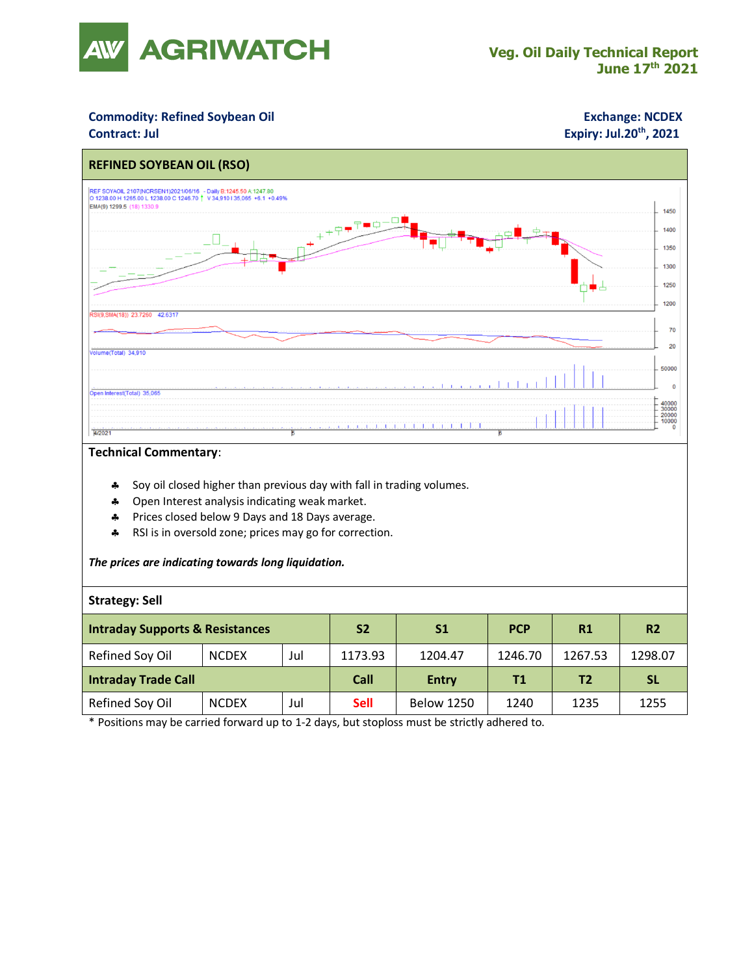

## **Commodity: Refined Soybean Oil <b>Exchange: NCDEX**

## **Contract: Jul Expiry: Jul.20<sup>th</sup>, 2021**



### **Technical Commentary**:

- \* Soy oil closed higher than previous day with fall in trading volumes.
- **4** Open Interest analysis indicating weak market.
- Prices closed below 9 Days and 18 Days average.
- \* RSI is in oversold zone; prices may go for correction.

#### *The prices are indicating towards long liquidation.*

#### **Strategy: Sell**

| <b>Intraday Supports &amp; Resistances</b> |              |     | S <sub>2</sub> | S1                | <b>PCP</b> | R1      | <b>R2</b> |
|--------------------------------------------|--------------|-----|----------------|-------------------|------------|---------|-----------|
| Refined Soy Oil                            | <b>NCDEX</b> | Jul | 1173.93        | 1204.47           | 1246.70    | 1267.53 | 1298.07   |
| <b>Intraday Trade Call</b>                 |              |     | Call           | <b>Entry</b>      | Τ1         | T2      | <b>SL</b> |
| Refined Soy Oil                            | <b>NCDEX</b> | Jul | <b>Sell</b>    | <b>Below 1250</b> | 1240       | 1235    | 1255      |

\* Positions may be carried forward up to 1-2 days, but stoploss must be strictly adhered to.